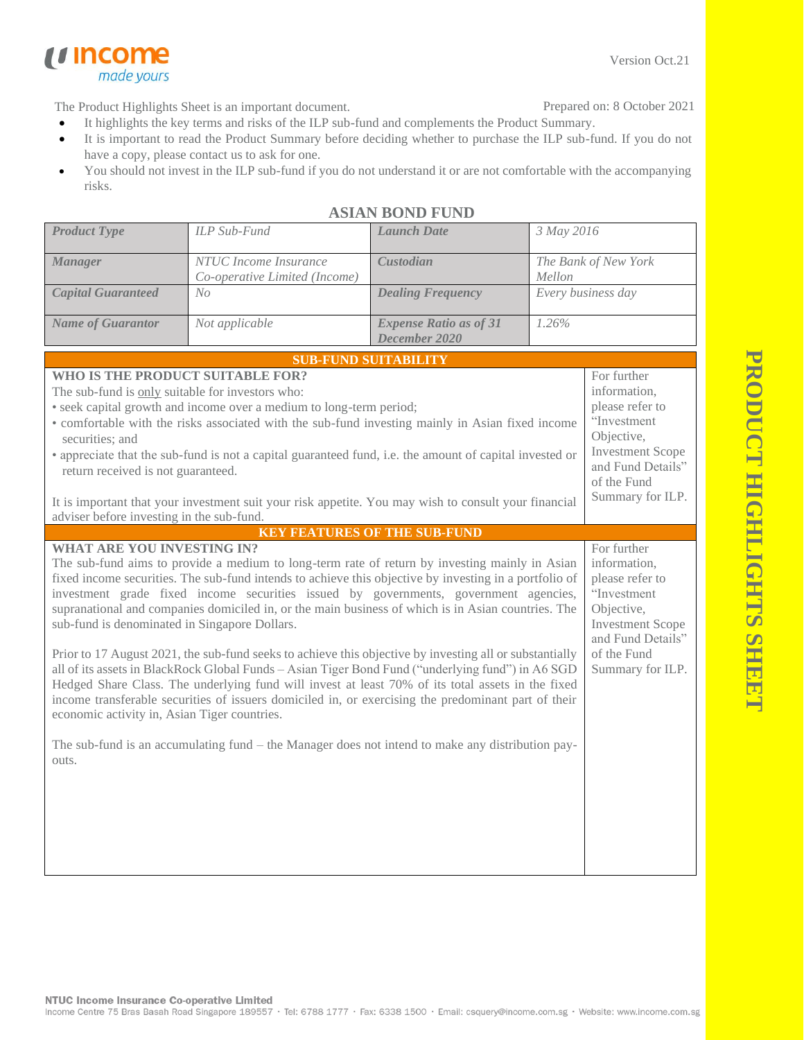Version Oct.21

The Product Highlights Sheet is an important document.

made yours

*u* income

Prepared on: 8 October 2021

- It highlights the key terms and risks of the ILP sub-fund and complements the Product Summary.
- It is important to read the Product Summary before deciding whether to purchase the ILP sub-fund. If you do not have a copy, please contact us to ask for one.
- You should not invest in the ILP sub-fund if you do not understand it or are not comfortable with the accompanying risks.

| <b>Product Type</b>                                                                                                                                                                                                                                                                                                                                                                                                                                                                                                                                                                                                                                                                                                                                                                                                                                                                                                                                                                                                                                                                     | ILP Sub-Fund                                           | <b>Launch Date</b>                             | 3 May 2016                                                                                                                                                     |  |  |
|-----------------------------------------------------------------------------------------------------------------------------------------------------------------------------------------------------------------------------------------------------------------------------------------------------------------------------------------------------------------------------------------------------------------------------------------------------------------------------------------------------------------------------------------------------------------------------------------------------------------------------------------------------------------------------------------------------------------------------------------------------------------------------------------------------------------------------------------------------------------------------------------------------------------------------------------------------------------------------------------------------------------------------------------------------------------------------------------|--------------------------------------------------------|------------------------------------------------|----------------------------------------------------------------------------------------------------------------------------------------------------------------|--|--|
| <b>Manager</b>                                                                                                                                                                                                                                                                                                                                                                                                                                                                                                                                                                                                                                                                                                                                                                                                                                                                                                                                                                                                                                                                          | NTUC Income Insurance<br>Co-operative Limited (Income) | Custodian                                      | The Bank of New York<br>Mellon                                                                                                                                 |  |  |
| <b>Capital Guaranteed</b>                                                                                                                                                                                                                                                                                                                                                                                                                                                                                                                                                                                                                                                                                                                                                                                                                                                                                                                                                                                                                                                               | No                                                     | <b>Dealing Frequency</b>                       | Every business day                                                                                                                                             |  |  |
| <b>Name of Guarantor</b>                                                                                                                                                                                                                                                                                                                                                                                                                                                                                                                                                                                                                                                                                                                                                                                                                                                                                                                                                                                                                                                                | Not applicable                                         | <b>Expense Ratio as of 31</b><br>December 2020 | 1.26%                                                                                                                                                          |  |  |
|                                                                                                                                                                                                                                                                                                                                                                                                                                                                                                                                                                                                                                                                                                                                                                                                                                                                                                                                                                                                                                                                                         |                                                        | <b>SUB-FUND SUITABILITY</b>                    |                                                                                                                                                                |  |  |
| WHO IS THE PRODUCT SUITABLE FOR?<br>The sub-fund is only suitable for investors who:<br>• seek capital growth and income over a medium to long-term period;<br>• comfortable with the risks associated with the sub-fund investing mainly in Asian fixed income<br>securities; and<br>• appreciate that the sub-fund is not a capital guaranteed fund, i.e. the amount of capital invested or<br>return received is not guaranteed.<br>It is important that your investment suit your risk appetite. You may wish to consult your financial                                                                                                                                                                                                                                                                                                                                                                                                                                                                                                                                             |                                                        |                                                | For further<br>information,<br>please refer to<br>"Investment<br>Objective,<br><b>Investment Scope</b><br>and Fund Details"<br>of the Fund<br>Summary for ILP. |  |  |
| adviser before investing in the sub-fund.                                                                                                                                                                                                                                                                                                                                                                                                                                                                                                                                                                                                                                                                                                                                                                                                                                                                                                                                                                                                                                               |                                                        | <b>KEY FEATURES OF THE SUB-FUND</b>            |                                                                                                                                                                |  |  |
| <b>WHAT ARE YOU INVESTING IN?</b><br>The sub-fund aims to provide a medium to long-term rate of return by investing mainly in Asian<br>fixed income securities. The sub-fund intends to achieve this objective by investing in a portfolio of<br>investment grade fixed income securities issued by governments, government agencies,<br>supranational and companies domiciled in, or the main business of which is in Asian countries. The<br>sub-fund is denominated in Singapore Dollars.<br>Prior to 17 August 2021, the sub-fund seeks to achieve this objective by investing all or substantially<br>all of its assets in BlackRock Global Funds - Asian Tiger Bond Fund ("underlying fund") in A6 SGD<br>Hedged Share Class. The underlying fund will invest at least 70% of its total assets in the fixed<br>income transferable securities of issuers domiciled in, or exercising the predominant part of their<br>economic activity in, Asian Tiger countries.<br>The sub-fund is an accumulating fund $-$ the Manager does not intend to make any distribution pay-<br>outs. |                                                        |                                                | For further<br>information,<br>please refer to<br>"Investment<br>Objective,<br><b>Investment Scope</b><br>and Fund Details"<br>of the Fund<br>Summary for ILP. |  |  |
|                                                                                                                                                                                                                                                                                                                                                                                                                                                                                                                                                                                                                                                                                                                                                                                                                                                                                                                                                                                                                                                                                         |                                                        |                                                |                                                                                                                                                                |  |  |

## **ASIAN BOND FUND**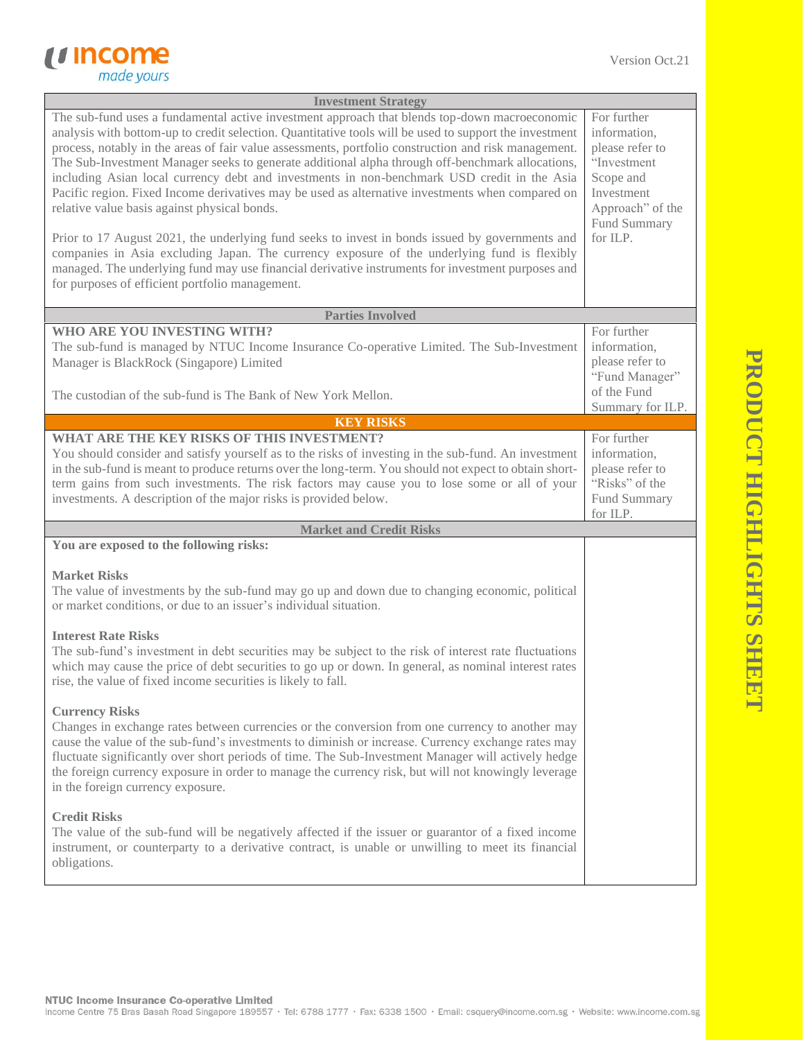

| <b>Investment Strategy</b><br>The sub-fund uses a fundamental active investment approach that blends top-down macroeconomic<br>analysis with bottom-up to credit selection. Quantitative tools will be used to support the investment<br>process, notably in the areas of fair value assessments, portfolio construction and risk management.<br>The Sub-Investment Manager seeks to generate additional alpha through off-benchmark allocations,<br>including Asian local currency debt and investments in non-benchmark USD credit in the Asia<br>Pacific region. Fixed Income derivatives may be used as alternative investments when compared on<br>relative value basis against physical bonds.<br>Prior to 17 August 2021, the underlying fund seeks to invest in bonds issued by governments and<br>companies in Asia excluding Japan. The currency exposure of the underlying fund is flexibly<br>managed. The underlying fund may use financial derivative instruments for investment purposes and<br>for purposes of efficient portfolio management. | For further<br>information,<br>please refer to<br>"Investment<br>Scope and<br>Investment<br>Approach" of the<br>Fund Summary<br>for ILP. |  |
|----------------------------------------------------------------------------------------------------------------------------------------------------------------------------------------------------------------------------------------------------------------------------------------------------------------------------------------------------------------------------------------------------------------------------------------------------------------------------------------------------------------------------------------------------------------------------------------------------------------------------------------------------------------------------------------------------------------------------------------------------------------------------------------------------------------------------------------------------------------------------------------------------------------------------------------------------------------------------------------------------------------------------------------------------------------|------------------------------------------------------------------------------------------------------------------------------------------|--|
| <b>Parties Involved</b>                                                                                                                                                                                                                                                                                                                                                                                                                                                                                                                                                                                                                                                                                                                                                                                                                                                                                                                                                                                                                                        |                                                                                                                                          |  |
| WHO ARE YOU INVESTING WITH?<br>The sub-fund is managed by NTUC Income Insurance Co-operative Limited. The Sub-Investment<br>Manager is BlackRock (Singapore) Limited<br>The custodian of the sub-fund is The Bank of New York Mellon.                                                                                                                                                                                                                                                                                                                                                                                                                                                                                                                                                                                                                                                                                                                                                                                                                          | For further<br>information,<br>please refer to<br>"Fund Manager"<br>of the Fund<br>Summary for ILP.                                      |  |
| <b>KEY RISKS</b>                                                                                                                                                                                                                                                                                                                                                                                                                                                                                                                                                                                                                                                                                                                                                                                                                                                                                                                                                                                                                                               |                                                                                                                                          |  |
| WHAT ARE THE KEY RISKS OF THIS INVESTMENT?<br>You should consider and satisfy yourself as to the risks of investing in the sub-fund. An investment<br>in the sub-fund is meant to produce returns over the long-term. You should not expect to obtain short-<br>term gains from such investments. The risk factors may cause you to lose some or all of your<br>investments. A description of the major risks is provided below.                                                                                                                                                                                                                                                                                                                                                                                                                                                                                                                                                                                                                               | For further<br>information,<br>please refer to<br>"Risks" of the<br>Fund Summary<br>for ILP.                                             |  |
| <b>Market and Credit Risks</b>                                                                                                                                                                                                                                                                                                                                                                                                                                                                                                                                                                                                                                                                                                                                                                                                                                                                                                                                                                                                                                 |                                                                                                                                          |  |
| You are exposed to the following risks:                                                                                                                                                                                                                                                                                                                                                                                                                                                                                                                                                                                                                                                                                                                                                                                                                                                                                                                                                                                                                        |                                                                                                                                          |  |
| <b>Market Risks</b><br>The value of investments by the sub-fund may go up and down due to changing economic, political<br>or market conditions, or due to an issuer's individual situation.<br><b>Interest Rate Risks</b>                                                                                                                                                                                                                                                                                                                                                                                                                                                                                                                                                                                                                                                                                                                                                                                                                                      |                                                                                                                                          |  |
| The sub-fund's investment in debt securities may be subject to the risk of interest rate fluctuations<br>which may cause the price of debt securities to go up or down. In general, as nominal interest rates<br>rise, the value of fixed income securities is likely to fall.                                                                                                                                                                                                                                                                                                                                                                                                                                                                                                                                                                                                                                                                                                                                                                                 |                                                                                                                                          |  |
| <b>Currency Risks</b><br>Changes in exchange rates between currencies or the conversion from one currency to another may<br>cause the value of the sub-fund's investments to diminish or increase. Currency exchange rates may<br>fluctuate significantly over short periods of time. The Sub-Investment Manager will actively hedge<br>the foreign currency exposure in order to manage the currency risk, but will not knowingly leverage<br>in the foreign currency exposure.                                                                                                                                                                                                                                                                                                                                                                                                                                                                                                                                                                               |                                                                                                                                          |  |
| <b>Credit Risks</b><br>The value of the sub-fund will be negatively affected if the issuer or guarantor of a fixed income<br>instrument, or counterparty to a derivative contract, is unable or unwilling to meet its financial<br>obligations.                                                                                                                                                                                                                                                                                                                                                                                                                                                                                                                                                                                                                                                                                                                                                                                                                |                                                                                                                                          |  |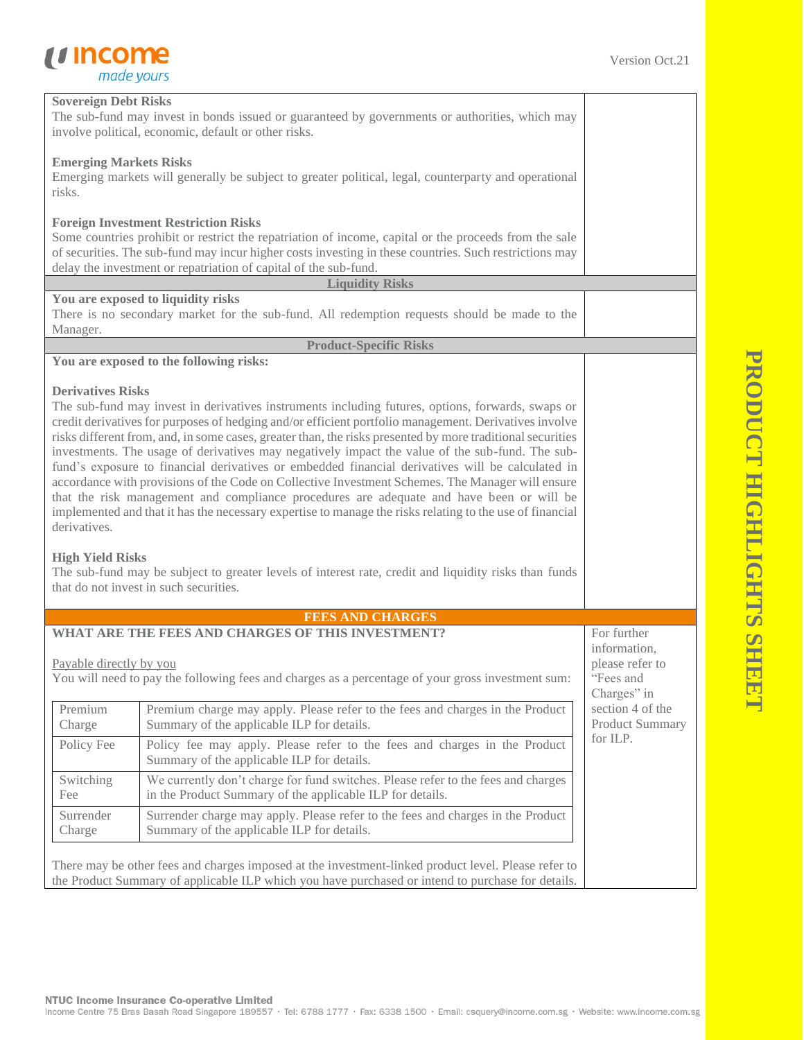## *<u>Income</u>*<br> *made yours*

| <b>Sovereign Debt Risks</b><br>The sub-fund may invest in bonds issued or guaranteed by governments or authorities, which may<br>involve political, economic, default or other risks. |                                                                                                                                                                                                                                                                                                                                                                                                                                                                                                                                                                                                                                                                                                                                                                                                                                                                                                                                                                                                |                                                                            |  |  |
|---------------------------------------------------------------------------------------------------------------------------------------------------------------------------------------|------------------------------------------------------------------------------------------------------------------------------------------------------------------------------------------------------------------------------------------------------------------------------------------------------------------------------------------------------------------------------------------------------------------------------------------------------------------------------------------------------------------------------------------------------------------------------------------------------------------------------------------------------------------------------------------------------------------------------------------------------------------------------------------------------------------------------------------------------------------------------------------------------------------------------------------------------------------------------------------------|----------------------------------------------------------------------------|--|--|
| <b>Emerging Markets Risks</b><br>Emerging markets will generally be subject to greater political, legal, counterparty and operational<br>risks.                                       |                                                                                                                                                                                                                                                                                                                                                                                                                                                                                                                                                                                                                                                                                                                                                                                                                                                                                                                                                                                                |                                                                            |  |  |
|                                                                                                                                                                                       | <b>Foreign Investment Restriction Risks</b><br>Some countries prohibit or restrict the repatriation of income, capital or the proceeds from the sale<br>of securities. The sub-fund may incur higher costs investing in these countries. Such restrictions may<br>delay the investment or repatriation of capital of the sub-fund.                                                                                                                                                                                                                                                                                                                                                                                                                                                                                                                                                                                                                                                             |                                                                            |  |  |
|                                                                                                                                                                                       | <b>Liquidity Risks</b>                                                                                                                                                                                                                                                                                                                                                                                                                                                                                                                                                                                                                                                                                                                                                                                                                                                                                                                                                                         |                                                                            |  |  |
| Manager.                                                                                                                                                                              | You are exposed to liquidity risks<br>There is no secondary market for the sub-fund. All redemption requests should be made to the                                                                                                                                                                                                                                                                                                                                                                                                                                                                                                                                                                                                                                                                                                                                                                                                                                                             |                                                                            |  |  |
|                                                                                                                                                                                       | <b>Product-Specific Risks</b>                                                                                                                                                                                                                                                                                                                                                                                                                                                                                                                                                                                                                                                                                                                                                                                                                                                                                                                                                                  |                                                                            |  |  |
|                                                                                                                                                                                       | You are exposed to the following risks:                                                                                                                                                                                                                                                                                                                                                                                                                                                                                                                                                                                                                                                                                                                                                                                                                                                                                                                                                        |                                                                            |  |  |
| <b>Derivatives Risks</b><br>derivatives.<br><b>High Yield Risks</b>                                                                                                                   | The sub-fund may invest in derivatives instruments including futures, options, forwards, swaps or<br>credit derivatives for purposes of hedging and/or efficient portfolio management. Derivatives involve<br>risks different from, and, in some cases, greater than, the risks presented by more traditional securities<br>investments. The usage of derivatives may negatively impact the value of the sub-fund. The sub-<br>fund's exposure to financial derivatives or embedded financial derivatives will be calculated in<br>accordance with provisions of the Code on Collective Investment Schemes. The Manager will ensure<br>that the risk management and compliance procedures are adequate and have been or will be<br>implemented and that it has the necessary expertise to manage the risks relating to the use of financial<br>The sub-fund may be subject to greater levels of interest rate, credit and liquidity risks than funds<br>that do not invest in such securities. |                                                                            |  |  |
|                                                                                                                                                                                       | <b>FEES AND CHARGES</b>                                                                                                                                                                                                                                                                                                                                                                                                                                                                                                                                                                                                                                                                                                                                                                                                                                                                                                                                                                        |                                                                            |  |  |
| Payable directly by you                                                                                                                                                               | WHAT ARE THE FEES AND CHARGES OF THIS INVESTMENT?<br>You will need to pay the following fees and charges as a percentage of your gross investment sum:                                                                                                                                                                                                                                                                                                                                                                                                                                                                                                                                                                                                                                                                                                                                                                                                                                         | For further<br>information,<br>please refer to<br>"Fees and<br>Charges" in |  |  |
| Premium<br>Charge                                                                                                                                                                     | Premium charge may apply. Please refer to the fees and charges in the Product<br>Summary of the applicable ILP for details.                                                                                                                                                                                                                                                                                                                                                                                                                                                                                                                                                                                                                                                                                                                                                                                                                                                                    | section 4 of the<br><b>Product Summary</b>                                 |  |  |
| Policy Fee                                                                                                                                                                            | Policy fee may apply. Please refer to the fees and charges in the Product<br>Summary of the applicable ILP for details.                                                                                                                                                                                                                                                                                                                                                                                                                                                                                                                                                                                                                                                                                                                                                                                                                                                                        | for ILP.                                                                   |  |  |
| Switching<br>Fee                                                                                                                                                                      | We currently don't charge for fund switches. Please refer to the fees and charges<br>in the Product Summary of the applicable ILP for details.                                                                                                                                                                                                                                                                                                                                                                                                                                                                                                                                                                                                                                                                                                                                                                                                                                                 |                                                                            |  |  |
| Surrender<br>Charge                                                                                                                                                                   | Surrender charge may apply. Please refer to the fees and charges in the Product<br>Summary of the applicable ILP for details.                                                                                                                                                                                                                                                                                                                                                                                                                                                                                                                                                                                                                                                                                                                                                                                                                                                                  |                                                                            |  |  |
|                                                                                                                                                                                       | There may be other fees and charges imposed at the investment-linked product level. Please refer to<br>the Product Summary of applicable ILP which you have purchased or intend to purchase for details.                                                                                                                                                                                                                                                                                                                                                                                                                                                                                                                                                                                                                                                                                                                                                                                       |                                                                            |  |  |

## PRODUCT HIGHLIGHTS SHEET **PRODUCT HIGHLIGHTS SHEET**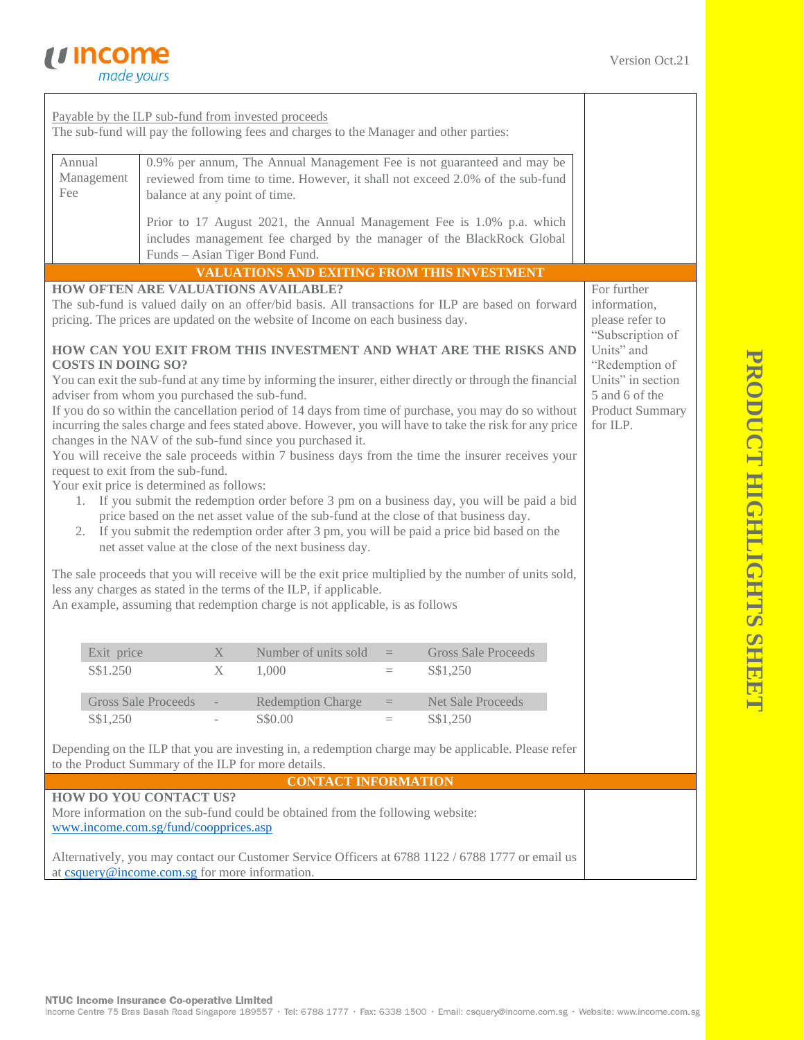

| Payable by the ILP sub-fund from invested proceeds<br>The sub-fund will pay the following fees and charges to the Manager and other parties:<br>Annual<br>0.9% per annum, The Annual Management Fee is not guaranteed and may be<br>Management<br>reviewed from time to time. However, it shall not exceed 2.0% of the sub-fund<br>Fee<br>balance at any point of time.<br>Prior to 17 August 2021, the Annual Management Fee is 1.0% p.a. which<br>includes management fee charged by the manager of the BlackRock Global<br>Funds - Asian Tiger Bond Fund.<br><b>VALUATIONS AND EXITING FROM THIS INVESTMENT</b><br><b>HOW OFTEN ARE VALUATIONS AVAILABLE?</b><br>For further<br>The sub-fund is valued daily on an offer/bid basis. All transactions for ILP are based on forward<br>information,<br>please refer to<br>pricing. The prices are updated on the website of Income on each business day.<br>"Subscription of<br>HOW CAN YOU EXIT FROM THIS INVESTMENT AND WHAT ARE THE RISKS AND<br>Units" and<br><b>COSTS IN DOING SO?</b><br>"Redemption of<br>Units" in section<br>You can exit the sub-fund at any time by informing the insurer, either directly or through the financial<br>adviser from whom you purchased the sub-fund.<br>5 and 6 of the<br>If you do so within the cancellation period of 14 days from time of purchase, you may do so without<br><b>Product Summary</b><br>incurring the sales charge and fees stated above. However, you will have to take the risk for any price<br>for ILP.<br>changes in the NAV of the sub-fund since you purchased it.<br>You will receive the sale proceeds within 7 business days from the time the insurer receives your<br>request to exit from the sub-fund.<br>Your exit price is determined as follows:<br>1. If you submit the redemption order before 3 pm on a business day, you will be paid a bid<br>price based on the net asset value of the sub-fund at the close of that business day.<br>2. If you submit the redemption order after 3 pm, you will be paid a price bid based on the<br>net asset value at the close of the next business day.<br>The sale proceeds that you will receive will be the exit price multiplied by the number of units sold,<br>less any charges as stated in the terms of the ILP, if applicable.<br>An example, assuming that redemption charge is not applicable, is as follows<br>Number of units sold<br>Exit price<br>X<br><b>Gross Sale Proceeds</b><br>$=$<br>S\$1.250<br>X<br>1,000<br>S\$1,250<br>$\equiv$<br><b>Gross Sale Proceeds</b><br><b>Redemption Charge</b><br><b>Net Sale Proceeds</b><br>$=$<br>S\$1,250<br>S\$0.00<br>S\$1,250<br>$=$<br>Depending on the ILP that you are investing in, a redemption charge may be applicable. Please refer<br>to the Product Summary of the ILP for more details.<br><b>CONTACT INFORMATION</b><br>HOW DO YOU CONTACT US?<br>More information on the sub-fund could be obtained from the following website:<br>www.income.com.sg/fund/coopprices.asp |  |  |  |  |  |
|-----------------------------------------------------------------------------------------------------------------------------------------------------------------------------------------------------------------------------------------------------------------------------------------------------------------------------------------------------------------------------------------------------------------------------------------------------------------------------------------------------------------------------------------------------------------------------------------------------------------------------------------------------------------------------------------------------------------------------------------------------------------------------------------------------------------------------------------------------------------------------------------------------------------------------------------------------------------------------------------------------------------------------------------------------------------------------------------------------------------------------------------------------------------------------------------------------------------------------------------------------------------------------------------------------------------------------------------------------------------------------------------------------------------------------------------------------------------------------------------------------------------------------------------------------------------------------------------------------------------------------------------------------------------------------------------------------------------------------------------------------------------------------------------------------------------------------------------------------------------------------------------------------------------------------------------------------------------------------------------------------------------------------------------------------------------------------------------------------------------------------------------------------------------------------------------------------------------------------------------------------------------------------------------------------------------------------------------------------------------------------------------------------------------------------------------------------------------------------------------------------------------------------------------------------------------------------------------------------------------------------------------------------------------------------------------------------------------------------------------------------------------------------------------------------------------------------------------------------------------------------------------------------------------------------------------------------------------------------------------------------------------------------|--|--|--|--|--|
|                                                                                                                                                                                                                                                                                                                                                                                                                                                                                                                                                                                                                                                                                                                                                                                                                                                                                                                                                                                                                                                                                                                                                                                                                                                                                                                                                                                                                                                                                                                                                                                                                                                                                                                                                                                                                                                                                                                                                                                                                                                                                                                                                                                                                                                                                                                                                                                                                                                                                                                                                                                                                                                                                                                                                                                                                                                                                                                                                                                                                             |  |  |  |  |  |
|                                                                                                                                                                                                                                                                                                                                                                                                                                                                                                                                                                                                                                                                                                                                                                                                                                                                                                                                                                                                                                                                                                                                                                                                                                                                                                                                                                                                                                                                                                                                                                                                                                                                                                                                                                                                                                                                                                                                                                                                                                                                                                                                                                                                                                                                                                                                                                                                                                                                                                                                                                                                                                                                                                                                                                                                                                                                                                                                                                                                                             |  |  |  |  |  |
|                                                                                                                                                                                                                                                                                                                                                                                                                                                                                                                                                                                                                                                                                                                                                                                                                                                                                                                                                                                                                                                                                                                                                                                                                                                                                                                                                                                                                                                                                                                                                                                                                                                                                                                                                                                                                                                                                                                                                                                                                                                                                                                                                                                                                                                                                                                                                                                                                                                                                                                                                                                                                                                                                                                                                                                                                                                                                                                                                                                                                             |  |  |  |  |  |
|                                                                                                                                                                                                                                                                                                                                                                                                                                                                                                                                                                                                                                                                                                                                                                                                                                                                                                                                                                                                                                                                                                                                                                                                                                                                                                                                                                                                                                                                                                                                                                                                                                                                                                                                                                                                                                                                                                                                                                                                                                                                                                                                                                                                                                                                                                                                                                                                                                                                                                                                                                                                                                                                                                                                                                                                                                                                                                                                                                                                                             |  |  |  |  |  |
|                                                                                                                                                                                                                                                                                                                                                                                                                                                                                                                                                                                                                                                                                                                                                                                                                                                                                                                                                                                                                                                                                                                                                                                                                                                                                                                                                                                                                                                                                                                                                                                                                                                                                                                                                                                                                                                                                                                                                                                                                                                                                                                                                                                                                                                                                                                                                                                                                                                                                                                                                                                                                                                                                                                                                                                                                                                                                                                                                                                                                             |  |  |  |  |  |
|                                                                                                                                                                                                                                                                                                                                                                                                                                                                                                                                                                                                                                                                                                                                                                                                                                                                                                                                                                                                                                                                                                                                                                                                                                                                                                                                                                                                                                                                                                                                                                                                                                                                                                                                                                                                                                                                                                                                                                                                                                                                                                                                                                                                                                                                                                                                                                                                                                                                                                                                                                                                                                                                                                                                                                                                                                                                                                                                                                                                                             |  |  |  |  |  |
|                                                                                                                                                                                                                                                                                                                                                                                                                                                                                                                                                                                                                                                                                                                                                                                                                                                                                                                                                                                                                                                                                                                                                                                                                                                                                                                                                                                                                                                                                                                                                                                                                                                                                                                                                                                                                                                                                                                                                                                                                                                                                                                                                                                                                                                                                                                                                                                                                                                                                                                                                                                                                                                                                                                                                                                                                                                                                                                                                                                                                             |  |  |  |  |  |
|                                                                                                                                                                                                                                                                                                                                                                                                                                                                                                                                                                                                                                                                                                                                                                                                                                                                                                                                                                                                                                                                                                                                                                                                                                                                                                                                                                                                                                                                                                                                                                                                                                                                                                                                                                                                                                                                                                                                                                                                                                                                                                                                                                                                                                                                                                                                                                                                                                                                                                                                                                                                                                                                                                                                                                                                                                                                                                                                                                                                                             |  |  |  |  |  |
|                                                                                                                                                                                                                                                                                                                                                                                                                                                                                                                                                                                                                                                                                                                                                                                                                                                                                                                                                                                                                                                                                                                                                                                                                                                                                                                                                                                                                                                                                                                                                                                                                                                                                                                                                                                                                                                                                                                                                                                                                                                                                                                                                                                                                                                                                                                                                                                                                                                                                                                                                                                                                                                                                                                                                                                                                                                                                                                                                                                                                             |  |  |  |  |  |
|                                                                                                                                                                                                                                                                                                                                                                                                                                                                                                                                                                                                                                                                                                                                                                                                                                                                                                                                                                                                                                                                                                                                                                                                                                                                                                                                                                                                                                                                                                                                                                                                                                                                                                                                                                                                                                                                                                                                                                                                                                                                                                                                                                                                                                                                                                                                                                                                                                                                                                                                                                                                                                                                                                                                                                                                                                                                                                                                                                                                                             |  |  |  |  |  |
|                                                                                                                                                                                                                                                                                                                                                                                                                                                                                                                                                                                                                                                                                                                                                                                                                                                                                                                                                                                                                                                                                                                                                                                                                                                                                                                                                                                                                                                                                                                                                                                                                                                                                                                                                                                                                                                                                                                                                                                                                                                                                                                                                                                                                                                                                                                                                                                                                                                                                                                                                                                                                                                                                                                                                                                                                                                                                                                                                                                                                             |  |  |  |  |  |
|                                                                                                                                                                                                                                                                                                                                                                                                                                                                                                                                                                                                                                                                                                                                                                                                                                                                                                                                                                                                                                                                                                                                                                                                                                                                                                                                                                                                                                                                                                                                                                                                                                                                                                                                                                                                                                                                                                                                                                                                                                                                                                                                                                                                                                                                                                                                                                                                                                                                                                                                                                                                                                                                                                                                                                                                                                                                                                                                                                                                                             |  |  |  |  |  |
|                                                                                                                                                                                                                                                                                                                                                                                                                                                                                                                                                                                                                                                                                                                                                                                                                                                                                                                                                                                                                                                                                                                                                                                                                                                                                                                                                                                                                                                                                                                                                                                                                                                                                                                                                                                                                                                                                                                                                                                                                                                                                                                                                                                                                                                                                                                                                                                                                                                                                                                                                                                                                                                                                                                                                                                                                                                                                                                                                                                                                             |  |  |  |  |  |
|                                                                                                                                                                                                                                                                                                                                                                                                                                                                                                                                                                                                                                                                                                                                                                                                                                                                                                                                                                                                                                                                                                                                                                                                                                                                                                                                                                                                                                                                                                                                                                                                                                                                                                                                                                                                                                                                                                                                                                                                                                                                                                                                                                                                                                                                                                                                                                                                                                                                                                                                                                                                                                                                                                                                                                                                                                                                                                                                                                                                                             |  |  |  |  |  |
|                                                                                                                                                                                                                                                                                                                                                                                                                                                                                                                                                                                                                                                                                                                                                                                                                                                                                                                                                                                                                                                                                                                                                                                                                                                                                                                                                                                                                                                                                                                                                                                                                                                                                                                                                                                                                                                                                                                                                                                                                                                                                                                                                                                                                                                                                                                                                                                                                                                                                                                                                                                                                                                                                                                                                                                                                                                                                                                                                                                                                             |  |  |  |  |  |
|                                                                                                                                                                                                                                                                                                                                                                                                                                                                                                                                                                                                                                                                                                                                                                                                                                                                                                                                                                                                                                                                                                                                                                                                                                                                                                                                                                                                                                                                                                                                                                                                                                                                                                                                                                                                                                                                                                                                                                                                                                                                                                                                                                                                                                                                                                                                                                                                                                                                                                                                                                                                                                                                                                                                                                                                                                                                                                                                                                                                                             |  |  |  |  |  |
|                                                                                                                                                                                                                                                                                                                                                                                                                                                                                                                                                                                                                                                                                                                                                                                                                                                                                                                                                                                                                                                                                                                                                                                                                                                                                                                                                                                                                                                                                                                                                                                                                                                                                                                                                                                                                                                                                                                                                                                                                                                                                                                                                                                                                                                                                                                                                                                                                                                                                                                                                                                                                                                                                                                                                                                                                                                                                                                                                                                                                             |  |  |  |  |  |
|                                                                                                                                                                                                                                                                                                                                                                                                                                                                                                                                                                                                                                                                                                                                                                                                                                                                                                                                                                                                                                                                                                                                                                                                                                                                                                                                                                                                                                                                                                                                                                                                                                                                                                                                                                                                                                                                                                                                                                                                                                                                                                                                                                                                                                                                                                                                                                                                                                                                                                                                                                                                                                                                                                                                                                                                                                                                                                                                                                                                                             |  |  |  |  |  |
|                                                                                                                                                                                                                                                                                                                                                                                                                                                                                                                                                                                                                                                                                                                                                                                                                                                                                                                                                                                                                                                                                                                                                                                                                                                                                                                                                                                                                                                                                                                                                                                                                                                                                                                                                                                                                                                                                                                                                                                                                                                                                                                                                                                                                                                                                                                                                                                                                                                                                                                                                                                                                                                                                                                                                                                                                                                                                                                                                                                                                             |  |  |  |  |  |
|                                                                                                                                                                                                                                                                                                                                                                                                                                                                                                                                                                                                                                                                                                                                                                                                                                                                                                                                                                                                                                                                                                                                                                                                                                                                                                                                                                                                                                                                                                                                                                                                                                                                                                                                                                                                                                                                                                                                                                                                                                                                                                                                                                                                                                                                                                                                                                                                                                                                                                                                                                                                                                                                                                                                                                                                                                                                                                                                                                                                                             |  |  |  |  |  |
|                                                                                                                                                                                                                                                                                                                                                                                                                                                                                                                                                                                                                                                                                                                                                                                                                                                                                                                                                                                                                                                                                                                                                                                                                                                                                                                                                                                                                                                                                                                                                                                                                                                                                                                                                                                                                                                                                                                                                                                                                                                                                                                                                                                                                                                                                                                                                                                                                                                                                                                                                                                                                                                                                                                                                                                                                                                                                                                                                                                                                             |  |  |  |  |  |
|                                                                                                                                                                                                                                                                                                                                                                                                                                                                                                                                                                                                                                                                                                                                                                                                                                                                                                                                                                                                                                                                                                                                                                                                                                                                                                                                                                                                                                                                                                                                                                                                                                                                                                                                                                                                                                                                                                                                                                                                                                                                                                                                                                                                                                                                                                                                                                                                                                                                                                                                                                                                                                                                                                                                                                                                                                                                                                                                                                                                                             |  |  |  |  |  |
|                                                                                                                                                                                                                                                                                                                                                                                                                                                                                                                                                                                                                                                                                                                                                                                                                                                                                                                                                                                                                                                                                                                                                                                                                                                                                                                                                                                                                                                                                                                                                                                                                                                                                                                                                                                                                                                                                                                                                                                                                                                                                                                                                                                                                                                                                                                                                                                                                                                                                                                                                                                                                                                                                                                                                                                                                                                                                                                                                                                                                             |  |  |  |  |  |
|                                                                                                                                                                                                                                                                                                                                                                                                                                                                                                                                                                                                                                                                                                                                                                                                                                                                                                                                                                                                                                                                                                                                                                                                                                                                                                                                                                                                                                                                                                                                                                                                                                                                                                                                                                                                                                                                                                                                                                                                                                                                                                                                                                                                                                                                                                                                                                                                                                                                                                                                                                                                                                                                                                                                                                                                                                                                                                                                                                                                                             |  |  |  |  |  |
|                                                                                                                                                                                                                                                                                                                                                                                                                                                                                                                                                                                                                                                                                                                                                                                                                                                                                                                                                                                                                                                                                                                                                                                                                                                                                                                                                                                                                                                                                                                                                                                                                                                                                                                                                                                                                                                                                                                                                                                                                                                                                                                                                                                                                                                                                                                                                                                                                                                                                                                                                                                                                                                                                                                                                                                                                                                                                                                                                                                                                             |  |  |  |  |  |
|                                                                                                                                                                                                                                                                                                                                                                                                                                                                                                                                                                                                                                                                                                                                                                                                                                                                                                                                                                                                                                                                                                                                                                                                                                                                                                                                                                                                                                                                                                                                                                                                                                                                                                                                                                                                                                                                                                                                                                                                                                                                                                                                                                                                                                                                                                                                                                                                                                                                                                                                                                                                                                                                                                                                                                                                                                                                                                                                                                                                                             |  |  |  |  |  |
|                                                                                                                                                                                                                                                                                                                                                                                                                                                                                                                                                                                                                                                                                                                                                                                                                                                                                                                                                                                                                                                                                                                                                                                                                                                                                                                                                                                                                                                                                                                                                                                                                                                                                                                                                                                                                                                                                                                                                                                                                                                                                                                                                                                                                                                                                                                                                                                                                                                                                                                                                                                                                                                                                                                                                                                                                                                                                                                                                                                                                             |  |  |  |  |  |
|                                                                                                                                                                                                                                                                                                                                                                                                                                                                                                                                                                                                                                                                                                                                                                                                                                                                                                                                                                                                                                                                                                                                                                                                                                                                                                                                                                                                                                                                                                                                                                                                                                                                                                                                                                                                                                                                                                                                                                                                                                                                                                                                                                                                                                                                                                                                                                                                                                                                                                                                                                                                                                                                                                                                                                                                                                                                                                                                                                                                                             |  |  |  |  |  |
|                                                                                                                                                                                                                                                                                                                                                                                                                                                                                                                                                                                                                                                                                                                                                                                                                                                                                                                                                                                                                                                                                                                                                                                                                                                                                                                                                                                                                                                                                                                                                                                                                                                                                                                                                                                                                                                                                                                                                                                                                                                                                                                                                                                                                                                                                                                                                                                                                                                                                                                                                                                                                                                                                                                                                                                                                                                                                                                                                                                                                             |  |  |  |  |  |
|                                                                                                                                                                                                                                                                                                                                                                                                                                                                                                                                                                                                                                                                                                                                                                                                                                                                                                                                                                                                                                                                                                                                                                                                                                                                                                                                                                                                                                                                                                                                                                                                                                                                                                                                                                                                                                                                                                                                                                                                                                                                                                                                                                                                                                                                                                                                                                                                                                                                                                                                                                                                                                                                                                                                                                                                                                                                                                                                                                                                                             |  |  |  |  |  |
|                                                                                                                                                                                                                                                                                                                                                                                                                                                                                                                                                                                                                                                                                                                                                                                                                                                                                                                                                                                                                                                                                                                                                                                                                                                                                                                                                                                                                                                                                                                                                                                                                                                                                                                                                                                                                                                                                                                                                                                                                                                                                                                                                                                                                                                                                                                                                                                                                                                                                                                                                                                                                                                                                                                                                                                                                                                                                                                                                                                                                             |  |  |  |  |  |
|                                                                                                                                                                                                                                                                                                                                                                                                                                                                                                                                                                                                                                                                                                                                                                                                                                                                                                                                                                                                                                                                                                                                                                                                                                                                                                                                                                                                                                                                                                                                                                                                                                                                                                                                                                                                                                                                                                                                                                                                                                                                                                                                                                                                                                                                                                                                                                                                                                                                                                                                                                                                                                                                                                                                                                                                                                                                                                                                                                                                                             |  |  |  |  |  |
|                                                                                                                                                                                                                                                                                                                                                                                                                                                                                                                                                                                                                                                                                                                                                                                                                                                                                                                                                                                                                                                                                                                                                                                                                                                                                                                                                                                                                                                                                                                                                                                                                                                                                                                                                                                                                                                                                                                                                                                                                                                                                                                                                                                                                                                                                                                                                                                                                                                                                                                                                                                                                                                                                                                                                                                                                                                                                                                                                                                                                             |  |  |  |  |  |
|                                                                                                                                                                                                                                                                                                                                                                                                                                                                                                                                                                                                                                                                                                                                                                                                                                                                                                                                                                                                                                                                                                                                                                                                                                                                                                                                                                                                                                                                                                                                                                                                                                                                                                                                                                                                                                                                                                                                                                                                                                                                                                                                                                                                                                                                                                                                                                                                                                                                                                                                                                                                                                                                                                                                                                                                                                                                                                                                                                                                                             |  |  |  |  |  |
|                                                                                                                                                                                                                                                                                                                                                                                                                                                                                                                                                                                                                                                                                                                                                                                                                                                                                                                                                                                                                                                                                                                                                                                                                                                                                                                                                                                                                                                                                                                                                                                                                                                                                                                                                                                                                                                                                                                                                                                                                                                                                                                                                                                                                                                                                                                                                                                                                                                                                                                                                                                                                                                                                                                                                                                                                                                                                                                                                                                                                             |  |  |  |  |  |
|                                                                                                                                                                                                                                                                                                                                                                                                                                                                                                                                                                                                                                                                                                                                                                                                                                                                                                                                                                                                                                                                                                                                                                                                                                                                                                                                                                                                                                                                                                                                                                                                                                                                                                                                                                                                                                                                                                                                                                                                                                                                                                                                                                                                                                                                                                                                                                                                                                                                                                                                                                                                                                                                                                                                                                                                                                                                                                                                                                                                                             |  |  |  |  |  |
|                                                                                                                                                                                                                                                                                                                                                                                                                                                                                                                                                                                                                                                                                                                                                                                                                                                                                                                                                                                                                                                                                                                                                                                                                                                                                                                                                                                                                                                                                                                                                                                                                                                                                                                                                                                                                                                                                                                                                                                                                                                                                                                                                                                                                                                                                                                                                                                                                                                                                                                                                                                                                                                                                                                                                                                                                                                                                                                                                                                                                             |  |  |  |  |  |
|                                                                                                                                                                                                                                                                                                                                                                                                                                                                                                                                                                                                                                                                                                                                                                                                                                                                                                                                                                                                                                                                                                                                                                                                                                                                                                                                                                                                                                                                                                                                                                                                                                                                                                                                                                                                                                                                                                                                                                                                                                                                                                                                                                                                                                                                                                                                                                                                                                                                                                                                                                                                                                                                                                                                                                                                                                                                                                                                                                                                                             |  |  |  |  |  |
|                                                                                                                                                                                                                                                                                                                                                                                                                                                                                                                                                                                                                                                                                                                                                                                                                                                                                                                                                                                                                                                                                                                                                                                                                                                                                                                                                                                                                                                                                                                                                                                                                                                                                                                                                                                                                                                                                                                                                                                                                                                                                                                                                                                                                                                                                                                                                                                                                                                                                                                                                                                                                                                                                                                                                                                                                                                                                                                                                                                                                             |  |  |  |  |  |
|                                                                                                                                                                                                                                                                                                                                                                                                                                                                                                                                                                                                                                                                                                                                                                                                                                                                                                                                                                                                                                                                                                                                                                                                                                                                                                                                                                                                                                                                                                                                                                                                                                                                                                                                                                                                                                                                                                                                                                                                                                                                                                                                                                                                                                                                                                                                                                                                                                                                                                                                                                                                                                                                                                                                                                                                                                                                                                                                                                                                                             |  |  |  |  |  |
|                                                                                                                                                                                                                                                                                                                                                                                                                                                                                                                                                                                                                                                                                                                                                                                                                                                                                                                                                                                                                                                                                                                                                                                                                                                                                                                                                                                                                                                                                                                                                                                                                                                                                                                                                                                                                                                                                                                                                                                                                                                                                                                                                                                                                                                                                                                                                                                                                                                                                                                                                                                                                                                                                                                                                                                                                                                                                                                                                                                                                             |  |  |  |  |  |
|                                                                                                                                                                                                                                                                                                                                                                                                                                                                                                                                                                                                                                                                                                                                                                                                                                                                                                                                                                                                                                                                                                                                                                                                                                                                                                                                                                                                                                                                                                                                                                                                                                                                                                                                                                                                                                                                                                                                                                                                                                                                                                                                                                                                                                                                                                                                                                                                                                                                                                                                                                                                                                                                                                                                                                                                                                                                                                                                                                                                                             |  |  |  |  |  |
|                                                                                                                                                                                                                                                                                                                                                                                                                                                                                                                                                                                                                                                                                                                                                                                                                                                                                                                                                                                                                                                                                                                                                                                                                                                                                                                                                                                                                                                                                                                                                                                                                                                                                                                                                                                                                                                                                                                                                                                                                                                                                                                                                                                                                                                                                                                                                                                                                                                                                                                                                                                                                                                                                                                                                                                                                                                                                                                                                                                                                             |  |  |  |  |  |
|                                                                                                                                                                                                                                                                                                                                                                                                                                                                                                                                                                                                                                                                                                                                                                                                                                                                                                                                                                                                                                                                                                                                                                                                                                                                                                                                                                                                                                                                                                                                                                                                                                                                                                                                                                                                                                                                                                                                                                                                                                                                                                                                                                                                                                                                                                                                                                                                                                                                                                                                                                                                                                                                                                                                                                                                                                                                                                                                                                                                                             |  |  |  |  |  |
|                                                                                                                                                                                                                                                                                                                                                                                                                                                                                                                                                                                                                                                                                                                                                                                                                                                                                                                                                                                                                                                                                                                                                                                                                                                                                                                                                                                                                                                                                                                                                                                                                                                                                                                                                                                                                                                                                                                                                                                                                                                                                                                                                                                                                                                                                                                                                                                                                                                                                                                                                                                                                                                                                                                                                                                                                                                                                                                                                                                                                             |  |  |  |  |  |
| Alternatively, you may contact our Customer Service Officers at 6788 1122 / 6788 1777 or email us<br>at csquery@income.com.sg for more information.                                                                                                                                                                                                                                                                                                                                                                                                                                                                                                                                                                                                                                                                                                                                                                                                                                                                                                                                                                                                                                                                                                                                                                                                                                                                                                                                                                                                                                                                                                                                                                                                                                                                                                                                                                                                                                                                                                                                                                                                                                                                                                                                                                                                                                                                                                                                                                                                                                                                                                                                                                                                                                                                                                                                                                                                                                                                         |  |  |  |  |  |
|                                                                                                                                                                                                                                                                                                                                                                                                                                                                                                                                                                                                                                                                                                                                                                                                                                                                                                                                                                                                                                                                                                                                                                                                                                                                                                                                                                                                                                                                                                                                                                                                                                                                                                                                                                                                                                                                                                                                                                                                                                                                                                                                                                                                                                                                                                                                                                                                                                                                                                                                                                                                                                                                                                                                                                                                                                                                                                                                                                                                                             |  |  |  |  |  |